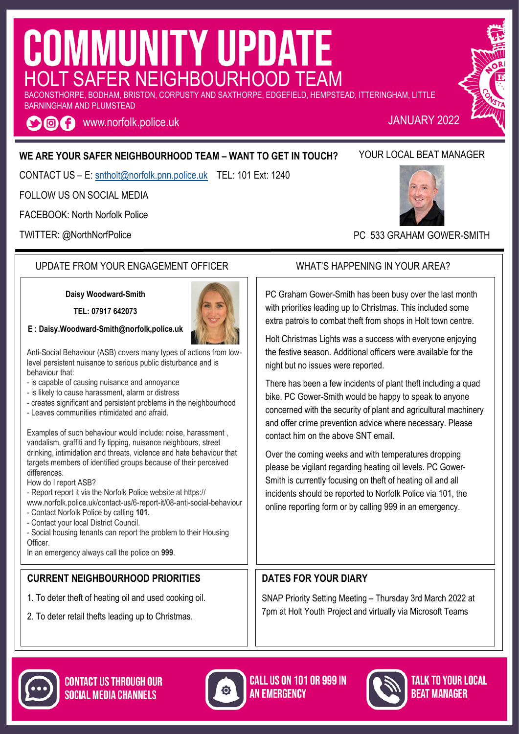# **COMMUNITY UPDATE** HOLT SAFER NEIGHBOURHOOD TEAM

BACONSTHORPE, BODHAM, BRISTON, CORPUSTY AND SAXTHORPE, EDGEFIELD, HEMPSTEAD, ITTERINGHAM, LITTLE BARNINGHAM AND PLUMSTEAD

**O f** www.norfolk.police.uk

#### **WE ARE YOUR SAFER NEIGHBOURHOOD TEAM – WANT TO GET IN TOUCH?**

CONTACT US – E: [sntholt@norfolk.pnn.police.uk](mailto:sntwells@norfolk.pnn.police.uk) TEL: 101 Ext: 1240

FOLLOW US ON SOCIAL MEDIA

FACEBOOK: North Norfolk Police

TWITTER: @NorthNorfPolice

#### UPDATE FROM YOUR ENGAGEMENT OFFICER WHAT'S HAPPENING IN YOUR AREA?

**Daisy Woodward-Smith**

**TEL: 07917 642073**



Anti-Social Behaviour (ASB) covers many types of actions from lowlevel persistent nuisance to serious public disturbance and is behaviour that:

- is capable of causing nuisance and annoyance
- is likely to cause harassment, alarm or distress
- creates significant and persistent problems in the neighbourhood
- Leaves communities intimidated and afraid.

Examples of such behaviour would include: noise, harassment , vandalism, graffiti and fly tipping, nuisance neighbours, street drinking, intimidation and threats, violence and hate behaviour that targets members of identified groups because of their perceived differences.

How do I report ASB?

- Report report it via the Norfolk Police website at https://

- www.norfolk.police.uk/contact-us/6-report-it/08-anti-social-behaviour - Contact Norfolk Police by calling **101.**
- Contact your local District Council.

- Social housing tenants can report the problem to their Housing Officer.

In an emergency always call the police on **999**.

#### **CURRENT NEIGHBOURHOOD PRIORITIES**

- 1. To deter theft of heating oil and used cooking oil.
- 2. To deter retail thefts leading up to Christmas.

YOUR LOCAL BEAT MANAGER

PC 533 GRAHAM GOWER-SMITH

PC Graham Gower-Smith has been busy over the last month with priorities leading up to Christmas. This included some extra patrols to combat theft from shops in Holt town centre.

Holt Christmas Lights was a success with everyone enjoying the festive season. Additional officers were available for the night but no issues were reported.

There has been a few incidents of plant theft including a quad bike. PC Gower-Smith would be happy to speak to anyone concerned with the security of plant and agricultural machinery and offer crime prevention advice where necessary. Please contact him on the above SNT email.

Over the coming weeks and with temperatures dropping please be vigilant regarding heating oil levels. PC Gower-Smith is currently focusing on theft of heating oil and all incidents should be reported to Norfolk Police via 101, the online reporting form or by calling 999 in an emergency.

#### **DATES FOR YOUR DIARY**

SNAP Priority Setting Meeting – Thursday 3rd March 2022 at 7pm at Holt Youth Project and virtually via Microsoft Teams





**CALL US ON 101 OR 999 IN AN FMFRGFNCY**